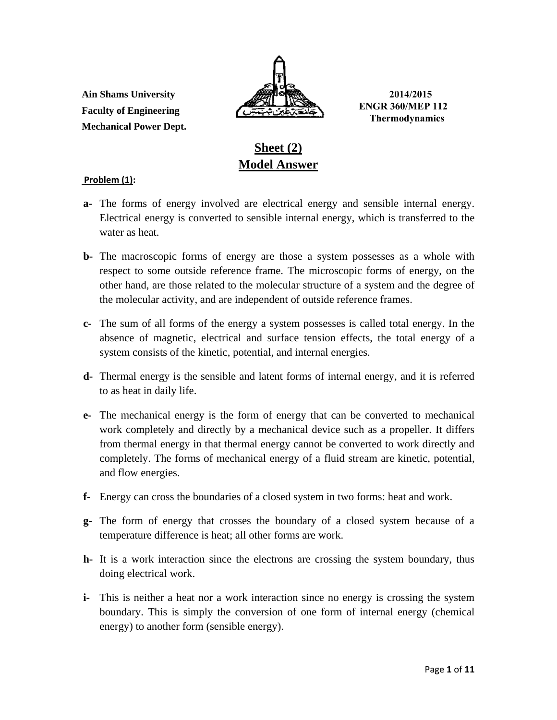**Ain Shams University 2014/2015 Faculty of Engineering Mechanical Power Dept.** 



**ENGR 360/MEP 112 Thermodynamics** 

# **Sheet (2) Model Answer**

# **Problem (1):**

- **a-** The forms of energy involved are electrical energy and sensible internal energy. Electrical energy is converted to sensible internal energy, which is transferred to the water as heat.
- **b-** The macroscopic forms of energy are those a system possesses as a whole with respect to some outside reference frame. The microscopic forms of energy, on the other hand, are those related to the molecular structure of a system and the degree of the molecular activity, and are independent of outside reference frames.
- **c-** The sum of all forms of the energy a system possesses is called total energy. In the absence of magnetic, electrical and surface tension effects, the total energy of a system consists of the kinetic, potential, and internal energies.
- **d-** Thermal energy is the sensible and latent forms of internal energy, and it is referred to as heat in daily life.
- **e-** The mechanical energy is the form of energy that can be converted to mechanical work completely and directly by a mechanical device such as a propeller. It differs from thermal energy in that thermal energy cannot be converted to work directly and completely. The forms of mechanical energy of a fluid stream are kinetic, potential, and flow energies.
- **f-** Energy can cross the boundaries of a closed system in two forms: heat and work.
- **g-** The form of energy that crosses the boundary of a closed system because of a temperature difference is heat; all other forms are work.
- **h-** It is a work interaction since the electrons are crossing the system boundary, thus doing electrical work.
- **i-** This is neither a heat nor a work interaction since no energy is crossing the system boundary. This is simply the conversion of one form of internal energy (chemical energy) to another form (sensible energy).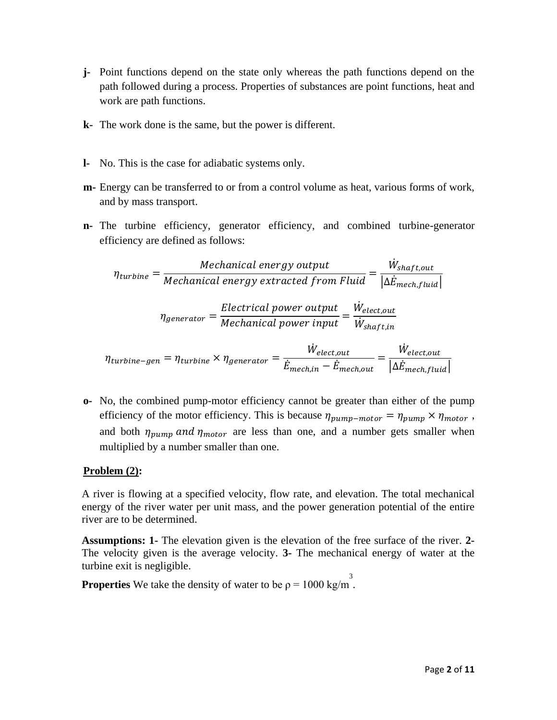- **j-** Point functions depend on the state only whereas the path functions depend on the path followed during a process. Properties of substances are point functions, heat and work are path functions.
- **k-** The work done is the same, but the power is different.
- **l-** No. This is the case for adiabatic systems only.
- **m-** Energy can be transferred to or from a control volume as heat, various forms of work, and by mass transport.
- **n-** The turbine efficiency, generator efficiency, and combined turbine-generator efficiency are defined as follows:

$$
\eta_{turbine} = \frac{Mechanical\ energy\ output}{Mechanical\ energy\ extracted\ from\ Fluid} = \frac{\dot{W}_{shaft,out}}{|\Delta \dot{E}_{mech,fluid}|}
$$
\n
$$
\eta_{generator} = \frac{Electrical\ power\ output}{Mechanical\ power\ input} = \frac{\dot{W}_{elect,out}}{\dot{W}_{shaft,in}}
$$

$$
\eta_{turbine-gen} = \eta_{turbine} \times \eta_{generator} = \frac{\dot{W}_{elect,out}}{\dot{E}_{mech,in} - \dot{E}_{mech,out}} = \frac{\dot{W}_{elect,out}}{|\Delta \dot{E}_{mech, fluid}|}
$$

**o-** No, the combined pump-motor efficiency cannot be greater than either of the pump efficiency of the motor efficiency. This is because  $\eta_{pump-motor} = \eta_{pump} \times \eta_{motor}$ , and both  $\eta_{pump}$  and  $\eta_{motor}$  are less than one, and a number gets smaller when multiplied by a number smaller than one.

# **Problem (2):**

A river is flowing at a specified velocity, flow rate, and elevation. The total mechanical energy of the river water per unit mass, and the power generation potential of the entire river are to be determined.

**Assumptions: 1-** The elevation given is the elevation of the free surface of the river. **2-** The velocity given is the average velocity. **3-** The mechanical energy of water at the turbine exit is negligible.

**Properties** We take the density of water to be  $\rho = 1000 \text{ kg/m}^3$ .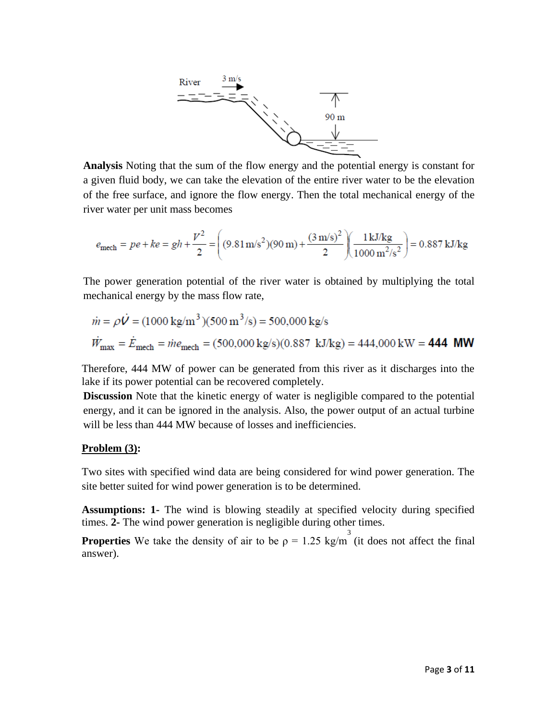

**Analysis** Noting that the sum of the flow energy and the potential energy is constant for a given fluid body, we can take the elevation of the entire river water to be the elevation of the free surface, and ignore the flow energy. Then the total mechanical energy of the river water per unit mass becomes

$$
e_{\text{mech}} = pe + ke = gh + \frac{V^2}{2} = \left( (9.81 \,\text{m/s}^2)(90 \,\text{m}) + \frac{(3 \,\text{m/s})^2}{2} \right) \left( \frac{1 \,\text{kJ/kg}}{1000 \,\text{m}^2/\text{s}^2} \right) = 0.887 \,\text{kJ/kg}
$$

The power generation potential of the river water is obtained by multiplying the total mechanical energy by the mass flow rate,

$$
\dot{m} = \rho \dot{V} = (1000 \text{ kg/m}^3)(500 \text{ m}^3/\text{s}) = 500,000 \text{ kg/s}
$$
  

$$
\dot{W}_{\text{max}} = \dot{E}_{\text{mech}} = \dot{m}e_{\text{mech}} = (500,000 \text{ kg/s})(0.887 \text{ kJ/kg}) = 444,000 \text{ kW} = 444 \text{ MW}
$$

Therefore, 444 MW of power can be generated from this river as it discharges into the lake if its power potential can be recovered completely.

**Discussion** Note that the kinetic energy of water is negligible compared to the potential energy, and it can be ignored in the analysis. Also, the power output of an actual turbine will be less than 444 MW because of losses and inefficiencies.

#### **Problem (3):**

Two sites with specified wind data are being considered for wind power generation. The site better suited for wind power generation is to be determined.

**Assumptions: 1-** The wind is blowing steadily at specified velocity during specified times. **2-** The wind power generation is negligible during other times.

**Properties** We take the density of air to be  $\rho = 1.25 \text{ kg/m}^3$  (it does not affect the final answer).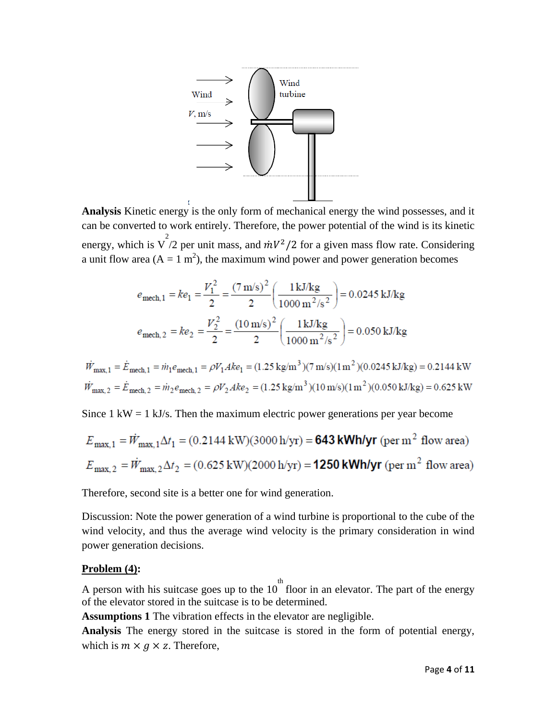

**Analysis** Kinetic energy is the only form of mechanical energy the wind possesses, and it can be converted to work entirely. Therefore, the power potential of the wind is its kinetic energy, which is  $\sqrt{\frac{2}{2}}$  per unit mass, and  $\frac{mV^2}{2}$  for a given mass flow rate. Considering a unit flow area ( $A = 1$  m<sup>2</sup>), the maximum wind power and power generation becomes

$$
e_{\text{mech},1} = ke_1 = \frac{V_1^2}{2} = \frac{(7 \text{ m/s})^2}{2} \left(\frac{1 \text{ kJ/kg}}{1000 \text{ m}^2/\text{s}^2}\right) = 0.0245 \text{ kJ/kg}
$$

$$
e_{\text{mech},2} = ke_2 = \frac{V_2^2}{2} = \frac{(10 \text{ m/s})^2}{2} \left(\frac{1 \text{ kJ/kg}}{1000 \text{ m}^2/\text{s}^2}\right) = 0.050 \text{ kJ/kg}
$$

$$
\dot{W}_{\text{max},1} = \dot{E}_{\text{mech},1} = \dot{m}_1 e_{\text{mech},1} = \rho V_1 A k e_1 = (1.25 \text{ kg/m}^3)(7 \text{ m/s})(1 \text{ m}^2)(0.0245 \text{ kJ/kg}) = 0.2144 \text{ kW}
$$
\n
$$
\dot{W}_{\text{max},2} = \dot{E}_{\text{mech},2} = \dot{m}_2 e_{\text{mech},2} = \rho V_2 A k e_2 = (1.25 \text{ kg/m}^3)(10 \text{ m/s})(1 \text{ m}^2)(0.050 \text{ kJ/kg}) = 0.625 \text{ kW}
$$

Since  $1 \text{ kW} = 1 \text{ kJ/s}$ . Then the maximum electric power generations per year become

$$
E_{\text{max},1} = \dot{W}_{\text{max},1} \Delta t_1 = (0.2144 \text{ kW})(3000 \text{ h/yr}) = 643 \text{ kWh/yr (per m}^2 \text{ flow area})
$$
  

$$
E_{\text{max},2} = \dot{W}_{\text{max},2} \Delta t_2 = (0.625 \text{ kW})(2000 \text{ h/yr}) = 1250 \text{ kWh/yr (per m}^2 \text{ flow area})
$$

Therefore, second site is a better one for wind generation.

Discussion: Note the power generation of a wind turbine is proportional to the cube of the wind velocity, and thus the average wind velocity is the primary consideration in wind power generation decisions.

#### **Problem (4):**

A person with his suitcase goes up to the 10 floor in an elevator. The part of the energy th of the elevator stored in the suitcase is to be determined.

**Assumptions 1** The vibration effects in the elevator are negligible.

**Analysis** The energy stored in the suitcase is stored in the form of potential energy, which is  $m \times g \times z$ . Therefore,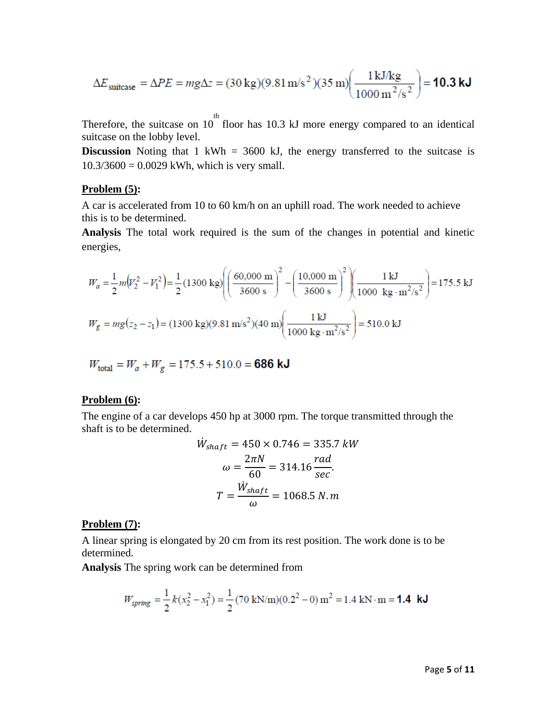$$
\Delta E_{\text{suitcase}} = \Delta PE = mg\Delta z = (30 \text{ kg})(9.81 \text{ m/s}^2)(35 \text{ m}) \left(\frac{1 \text{ kJ/kg}}{1000 \text{ m}^2/\text{s}^2}\right) = 10.3 \text{ kJ}
$$

Therefore, the suitcase on 10 floor has 10.3 kJ more energy compared to an identical th suitcase on the lobby level.

**Discussion** Noting that 1 kWh = 3600 kJ, the energy transferred to the suitcase is  $10.3/3600 = 0.0029$  kWh, which is very small.

#### **Problem (5):**

A car is accelerated from 10 to 60 km/h on an uphill road. The work needed to achieve this is to be determined.

**Analysis** The total work required is the sum of the changes in potential and kinetic energies,

$$
W_a = \frac{1}{2} m (v_2^2 - v_1^2) = \frac{1}{2} (1300 \text{ kg}) \left( \frac{60,000 \text{ m}}{3600 \text{ s}} \right)^2 - \left( \frac{10,000 \text{ m}}{3600 \text{ s}} \right)^2 \left( \frac{1 \text{ kJ}}{1000 \text{ kg} \cdot \text{m}^2/\text{s}^2} \right) = 175.5 \text{ kJ}
$$
  

$$
W_g = mg (z_2 - z_1) = (1300 \text{ kg})(9.81 \text{ m/s}^2)(40 \text{ m}) \left( \frac{1 \text{ kJ}}{1000 \text{ kg} \cdot \text{m}^2/\text{s}^2} \right) = 510.0 \text{ kJ}
$$

$$
W_{\text{total}} = W_a + W_g = 175.5 + 510.0 = \textbf{686 kJ}
$$

# **Problem (6):**

The engine of a car develops 450 hp at 3000 rpm. The torque transmitted through the shaft is to be determined.

$$
\dot{W}_{shaff} = 450 \times 0.746 = 335.7 \, kW
$$
\n
$$
\omega = \frac{2\pi N}{60} = 314.16 \frac{rad}{sec}
$$
\n
$$
T = \frac{\dot{W}_{shaff}}{\omega} = 1068.5 \, N.m
$$

#### **Problem (7):**

A linear spring is elongated by 20 cm from its rest position. The work done is to be determined.

**Analysis** The spring work can be determined from

$$
W_{spring} = \frac{1}{2}k(x_2^2 - x_1^2) = \frac{1}{2}(70 \text{ kN/m})(0.2^2 - 0) \text{ m}^2 = 1.4 \text{ kN} \cdot \text{m} = 1.4 \text{ kJ}
$$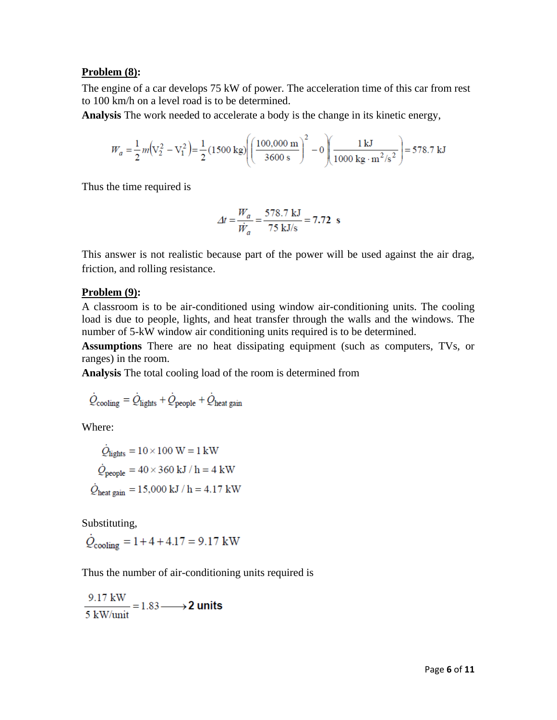#### **Problem (8):**

The engine of a car develops 75 kW of power. The acceleration time of this car from rest to 100 km/h on a level road is to be determined.

**Analysis** The work needed to accelerate a body is the change in its kinetic energy,

$$
W_a = \frac{1}{2} m (V_2^2 - V_1^2) = \frac{1}{2} (1500 \text{ kg}) \left( \frac{100,000 \text{ m}}{3600 \text{ s}} \right)^2 - 0 \left( \frac{1 \text{ kJ}}{1000 \text{ kg} \cdot \text{m}^2/\text{s}^2} \right) = 578.7 \text{ kJ}
$$

Thus the time required is

$$
\Delta t = \frac{W_a}{\dot{W}_a} = \frac{578.7 \text{ kJ}}{75 \text{ kJ/s}} = 7.72 \text{ s}
$$

This answer is not realistic because part of the power will be used against the air drag, friction, and rolling resistance.

#### **Problem (9):**

A classroom is to be air-conditioned using window air-conditioning units. The cooling load is due to people, lights, and heat transfer through the walls and the windows. The number of 5-kW window air conditioning units required is to be determined.

**Assumptions** There are no heat dissipating equipment (such as computers, TVs, or ranges) in the room.

**Analysis** The total cooling load of the room is determined from

$$
\dot{Q}_{\text{cooling}} = \dot{Q}_{\text{lights}} + \dot{Q}_{\text{people}} + \dot{Q}_{\text{heat gain}}
$$

Where:

$$
\dot{Q}_{\text{lights}} = 10 \times 100 \text{ W} = 1 \text{ kW}
$$
\n
$$
\dot{Q}_{\text{people}} = 40 \times 360 \text{ kJ} / \text{h} = 4 \text{ kW}
$$
\n
$$
\dot{Q}_{\text{heat gain}} = 15,000 \text{ kJ} / \text{h} = 4.17 \text{ kW}
$$

Substituting,

 $\dot{Q}_{\text{cooling}} = 1 + 4 + 4.17 = 9.17 \text{ kW}$ 

Thus the number of air-conditioning units required is

 $\frac{9.17 \text{ kW}}{5 \text{ kW/unit}} = 1.83 \longrightarrow 2 \text{ units}$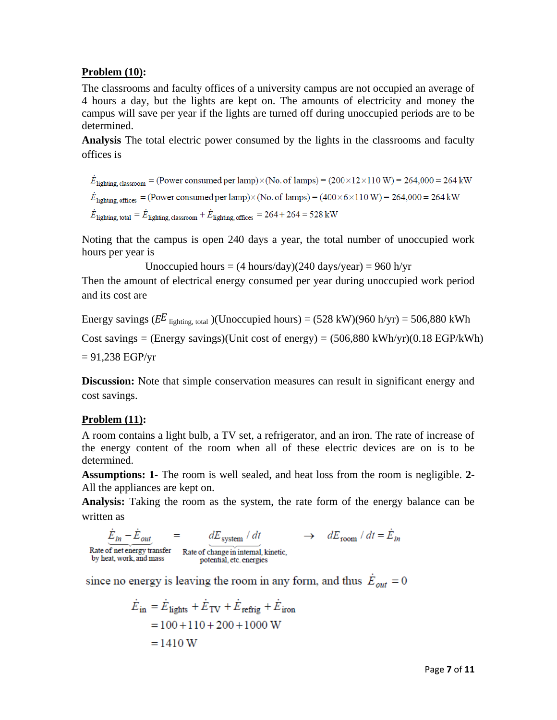# **Problem (10):**

The classrooms and faculty offices of a university campus are not occupied an average of 4 hours a day, but the lights are kept on. The amounts of electricity and money the campus will save per year if the lights are turned off during unoccupied periods are to be determined.

**Analysis** The total electric power consumed by the lights in the classrooms and faculty offices is

 $\dot{E}_{\text{lighting, classroom}} = (\text{Power consumed per lamp}) \times (\text{No. of lamps}) = (200 \times 12 \times 110 \text{ W}) = 264,000 = 264 \text{ kW}$  $\dot{E}_{\text{lighting, offices}} = (\text{Power consumed per lamp}) \times (\text{No. of lamps}) = (400 \times 6 \times 110 \text{ W}) = 264,000 = 264 \text{ kW}$  $\dot{E}_{\text{lighting, total}} = \dot{E}_{\text{lighting, classroom}} + \dot{E}_{\text{lighting, offices}} = 264 + 264 = 528 \text{ kW}$ 

Noting that the campus is open 240 days a year, the total number of unoccupied work hours per year is

Unoccupied hours =  $(4 \text{ hours/day})(240 \text{ days/year}) = 960 \text{ h/yr}$ 

Then the amount of electrical energy consumed per year during unoccupied work period and its cost are

Energy savings ( $E^E$  lighting, total )(Unoccupied hours) = (528 kW)(960 h/yr) = 506,880 kWh

Cost savings = (Energy savings)(Unit cost of energy) =  $(506,880 \text{ kWh/yr})(0.18 \text{ EGP/kWh})$ 

 $= 91,238$  EGP/yr

**Discussion:** Note that simple conservation measures can result in significant energy and cost savings.

# **Problem (11):**

A room contains a light bulb, a TV set, a refrigerator, and an iron. The rate of increase of the energy content of the room when all of these electric devices are on is to be determined.

**Assumptions: 1-** The room is well sealed, and heat loss from the room is negligible. **2-**  All the appliances are kept on.

**Analysis:** Taking the room as the system, the rate form of the energy balance can be written as

$$
\underline{\dot{E}_{in} - \dot{E}_{out}}_{\text{Rate of net energy transfer}} = \underbrace{dE_{\text{system}} / dt}_{\text{Rate of change in internal, kinetic,}}
$$
\n
$$
\rightarrow dE_{\text{room}} / dt = \dot{E}_{in}
$$
\n
$$
\rightarrow dE_{\text{room}} / dt = \dot{E}_{in}
$$

since no energy is leaving the room in any form, and thus  $\dot{E}_{out} = 0$ 

$$
\dot{E}_{in} = \dot{E}_{\text{lights}} + \dot{E}_{\text{TV}} + \dot{E}_{\text{refrig}} + \dot{E}_{\text{iron}}
$$

$$
= 100 + 110 + 200 + 1000 \text{ W}
$$

$$
= 1410 \text{ W}
$$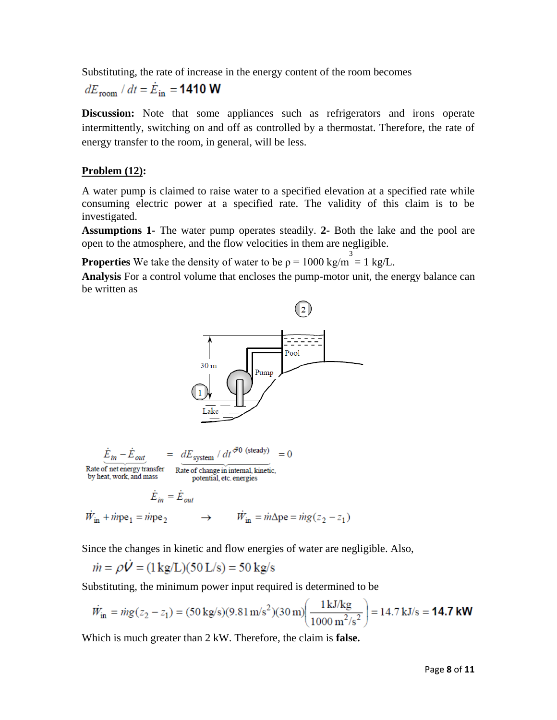Substituting, the rate of increase in the energy content of the room becomes

 $dE_{\rm room}$  /  $dt = \dot{E}_{\rm in} = 1410$  W

**Discussion:** Note that some appliances such as refrigerators and irons operate intermittently, switching on and off as controlled by a thermostat. Therefore, the rate of energy transfer to the room, in general, will be less.

# **Problem (12):**

A water pump is claimed to raise water to a specified elevation at a specified rate while consuming electric power at a specified rate. The validity of this claim is to be investigated.

**Assumptions 1-** The water pump operates steadily. **2-** Both the lake and the pool are open to the atmosphere, and the flow velocities in them are negligible.

**Properties** We take the density of water to be  $\rho = 1000 \text{ kg/m}^3 = 1 \text{ kg/L}$ .

**Analysis** For a control volume that encloses the pump-motor unit, the energy balance can be written as



Since the changes in kinetic and flow energies of water are negligible. Also,

$$
\dot{m} = \rho \dot{V} = (1 \,\text{kg/L})(50 \,\text{L/s}) = 50 \,\text{kg/s}
$$

Substituting, the minimum power input required is determined to be

$$
\dot{W}_{\text{in}} = \dot{m}g(z_2 - z_1) = (50 \text{ kg/s})(9.81 \text{ m/s}^2)(30 \text{ m}) \left(\frac{1 \text{ kJ/kg}}{1000 \text{ m}^2/\text{s}^2}\right) = 14.7 \text{ kJ/s} = 14.7 \text{ kW}
$$

Which is much greater than 2 kW. Therefore, the claim is **false.**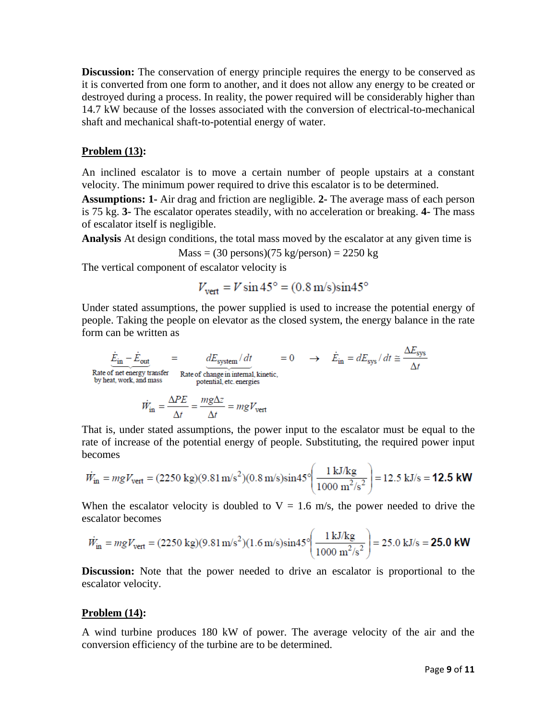**Discussion:** The conservation of energy principle requires the energy to be conserved as it is converted from one form to another, and it does not allow any energy to be created or destroyed during a process. In reality, the power required will be considerably higher than 14.7 kW because of the losses associated with the conversion of electrical-to-mechanical shaft and mechanical shaft-to-potential energy of water.

#### **Problem (13):**

An inclined escalator is to move a certain number of people upstairs at a constant velocity. The minimum power required to drive this escalator is to be determined.

**Assumptions: 1-** Air drag and friction are negligible. **2-** The average mass of each person is 75 kg. **3-** The escalator operates steadily, with no acceleration or breaking. **4-** The mass of escalator itself is negligible.

**Analysis** At design conditions, the total mass moved by the escalator at any given time is

 $Mass = (30 \text{ persons})(75 \text{ kg/person}) = 2250 \text{ kg}$ 

The vertical component of escalator velocity is

$$
V_{\text{vert}} = V \sin 45^\circ = (0.8 \text{ m/s}) \sin 45^\circ
$$

Under stated assumptions, the power supplied is used to increase the potential energy of people. Taking the people on elevator as the closed system, the energy balance in the rate form can be written as

$$
\frac{\dot{E}_{\rm in} - \dot{E}_{\rm out}}{\text{Rate of net energy transfer}}
$$
\n
$$
= \frac{dE_{\text{system}}/dt}{\text{Rate of the energy transfer}}
$$
\n
$$
= 0 \rightarrow \dot{E}_{\rm in} = dE_{\text{sys}}/dt \approx \frac{\Delta E_{\text{sys}}}{\Delta t}
$$
\n
$$
\dot{W}_{\rm in} = \frac{\Delta PE}{\Delta t} = \frac{mg\Delta z}{\Delta t} = mgV_{\text{vert}}
$$

That is, under stated assumptions, the power input to the escalator must be equal to the rate of increase of the potential energy of people. Substituting, the required power input becomes

$$
\dot{W}_{\text{in}} = mgV_{\text{vert}} = (2250 \text{ kg})(9.81 \text{ m/s}^2)(0.8 \text{ m/s})\sin 45^\circ \left(\frac{1 \text{ kJ/kg}}{1000 \text{ m}^2/\text{s}^2}\right) = 12.5 \text{ kJ/s} = 12.5 \text{ kW}
$$

When the escalator velocity is doubled to  $V = 1.6$  m/s, the power needed to drive the escalator becomes

$$
\dot{W}_{\text{in}} = mgV_{\text{vert}} = (2250 \text{ kg})(9.81 \text{ m/s}^2)(1.6 \text{ m/s})\sin 45^\circ \left(\frac{1 \text{ kJ/kg}}{1000 \text{ m}^2/\text{s}^2}\right) = 25.0 \text{ kJ/s} = 25.0 \text{ kW}
$$

**Discussion:** Note that the power needed to drive an escalator is proportional to the escalator velocity.

#### **Problem (14):**

A wind turbine produces 180 kW of power. The average velocity of the air and the conversion efficiency of the turbine are to be determined.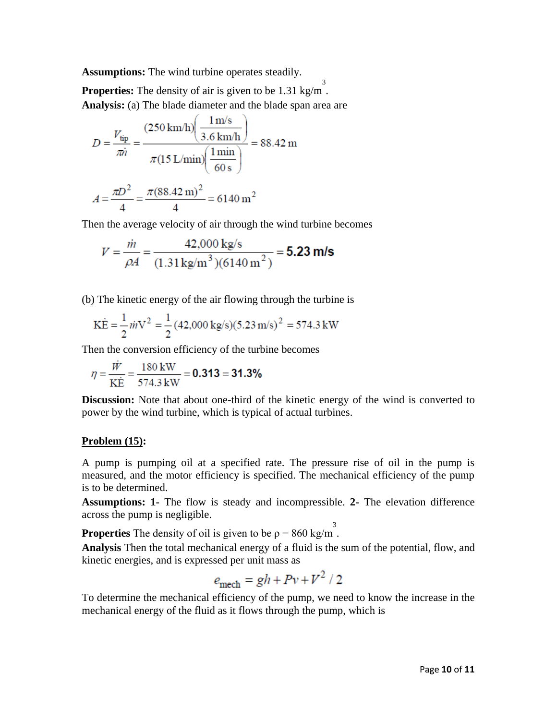**Assumptions:** The wind turbine operates steadily.

**Properties:** The density of air is given to be 1.31 kg/m<sup>3</sup>. **Analysis:** (a) The blade diameter and the blade span area are

$$
D = \frac{V_{\text{tip}}}{\pi i} = \frac{(250 \text{ km/h}) \left(\frac{1 \text{ m/s}}{3.6 \text{ km/h}}\right)}{\pi (15 \text{ L/min}) \left(\frac{1 \text{ min}}{60 \text{ s}}\right)} = 88.42 \text{ m}
$$

$$
A = \frac{\pi D^2}{4} = \frac{\pi (88.42 \text{ m})^2}{4} = 6140 \text{ m}^2
$$

Then the average velocity of air through the wind turbine becomes

$$
V = \frac{\dot{m}}{\rho A} = \frac{42,000 \text{ kg/s}}{(1.31 \text{ kg/m}^3)(6140 \text{ m}^2)} = 5.23 \text{ m/s}
$$

(b) The kinetic energy of the air flowing through the turbine is

$$
K\dot{E} = \frac{1}{2}\dot{m}V^2 = \frac{1}{2}(42,000 \text{ kg/s})(5.23 \text{ m/s})^2 = 574.3 \text{ kW}
$$

Then the conversion efficiency of the turbine becomes

$$
\eta = \frac{\dot{W}}{\text{K}\dot{E}} = \frac{180 \text{ kW}}{574.3 \text{ kW}} = 0.313 = 31.3\%
$$

**Discussion:** Note that about one-third of the kinetic energy of the wind is converted to power by the wind turbine, which is typical of actual turbines.

# **Problem (15):**

A pump is pumping oil at a specified rate. The pressure rise of oil in the pump is measured, and the motor efficiency is specified. The mechanical efficiency of the pump is to be determined.

**Assumptions: 1-** The flow is steady and incompressible. **2-** The elevation difference across the pump is negligible.

**Properties** The density of oil is given to be  $\rho = 860 \text{ kg/m}^3$ .

**Analysis** Then the total mechanical energy of a fluid is the sum of the potential, flow, and kinetic energies, and is expressed per unit mass as

$$
e_{\text{mech}} = gh + Pv + V^2 / 2
$$

To determine the mechanical efficiency of the pump, we need to know the increase in the mechanical energy of the fluid as it flows through the pump, which is